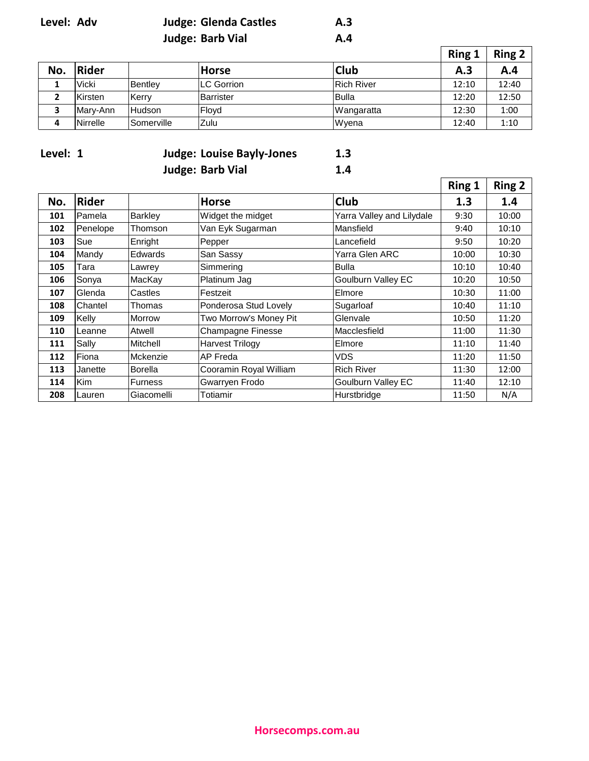| Level: Adv | <b>Judge: Glenda Castles</b> | A.3 |                  |
|------------|------------------------------|-----|------------------|
|            | <b>Judge: Barb Vial</b>      | A.4 |                  |
|            |                              |     | $\sum_{i=1}^{n}$ |

|     |              |                |              |              | Ring 1 | Ring 2 |
|-----|--------------|----------------|--------------|--------------|--------|--------|
| No. | Rider        |                | <b>Horse</b> | <b>Club</b>  | А.З    | A.4    |
|     | <b>Vicki</b> | <b>Bentlev</b> | LC Gorrion   | Rich River   | 12:10  | 12:40  |
|     | Kirsten      | Kerry          | Barrister    | <b>Bulla</b> | 12:20  | 12:50  |
|     | Mary-Ann     | <b>Hudson</b>  | Floyd        | Wangaratta   | 12:30  | 1:00   |
|     | Nirrelle     | lSomerville    | Zulu         | Wyena        | 12:40  | 1:10   |

| Level: 1 | <b>Judge: Louise Bayly-Jones</b> | 1.3 |
|----------|----------------------------------|-----|
|          | <b>Judge: Barb Vial</b>          | 1.4 |

|     |            |                |                          |                           | Ring 1 | <b>Ring 2</b> |
|-----|------------|----------------|--------------------------|---------------------------|--------|---------------|
| No. | Rider      |                | <b>Horse</b>             | Club                      | 1.3    | 1.4           |
| 101 | Pamela     | <b>Barkley</b> | Widget the midget        | Yarra Valley and Lilydale | 9:30   | 10:00         |
| 102 | Penelope   | Thomson        | Van Eyk Sugarman         | Mansfield                 | 9:40   | 10:10         |
| 103 | Sue        | Enright        | Pepper                   | Lancefield                | 9:50   | 10:20         |
| 104 | Mandy      | Edwards        | San Sassy                | Yarra Glen ARC            | 10:00  | 10:30         |
| 105 | Tara       | Lawrey         | Simmering                | Bulla                     | 10:10  | 10:40         |
| 106 | Sonya      | MacKay         | Platinum Jag             | <b>Goulburn Valley EC</b> | 10:20  | 10:50         |
| 107 | Glenda     | Castles        | Festzeit                 | Elmore                    | 10:30  | 11:00         |
| 108 | Chantel    | Thomas         | Ponderosa Stud Lovely    | Sugarloaf                 | 10:40  | 11:10         |
| 109 | Kelly      | <b>Morrow</b>  | Two Morrow's Money Pit   | Glenvale                  | 10:50  | 11:20         |
| 110 | Leanne     | Atwell         | <b>Champagne Finesse</b> | Macclesfield              | 11:00  | 11:30         |
| 111 | Sally      | Mitchell       | <b>Harvest Trilogy</b>   | Elmore                    | 11:10  | 11:40         |
| 112 | Fiona      | Mckenzie       | AP Freda                 | <b>VDS</b>                | 11:20  | 11:50         |
| 113 | Janette    | <b>Borella</b> | Cooramin Royal William   | <b>Rich River</b>         | 11:30  | 12:00         |
| 114 | <b>Kim</b> | <b>Furness</b> | Gwarryen Frodo           | <b>Goulburn Valley EC</b> | 11:40  | 12:10         |
| 208 | Lauren     | Giacomelli     | Totiamir                 | Hurstbridge               | 11:50  | N/A           |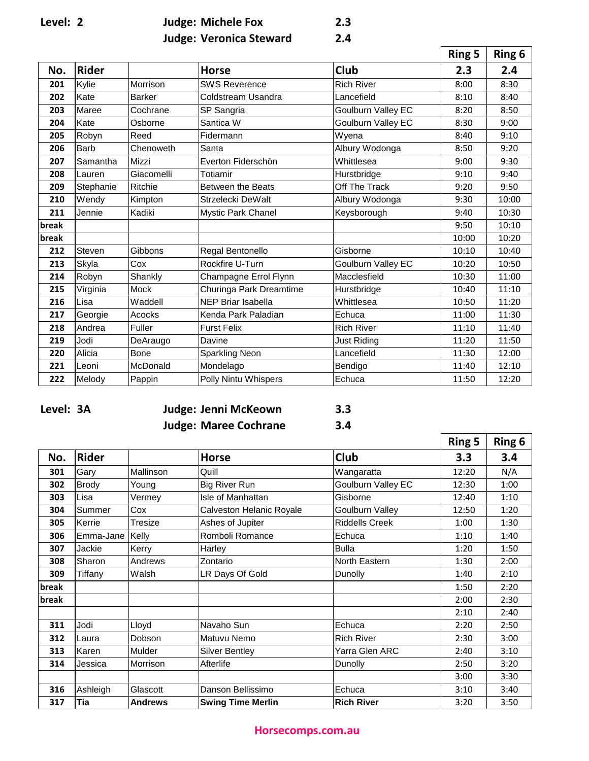| Level: |  |
|--------|--|
|        |  |

| Level: 2 | <b>Judge: Michele Fox</b>      | 2.3 |
|----------|--------------------------------|-----|
|          | <b>Judge: Veronica Steward</b> | 2.4 |

| . . | ۰.<br>- |  |
|-----|---------|--|
|     |         |  |

|       |              |               |                           |                           | <b>Ring 5</b> | Ring 6 |
|-------|--------------|---------------|---------------------------|---------------------------|---------------|--------|
| No.   | <b>Rider</b> |               | <b>Horse</b>              | <b>Club</b>               | 2.3           | 2.4    |
| 201   | Kylie        | Morrison      | <b>SWS Reverence</b>      | <b>Rich River</b>         | 8:00          | 8:30   |
| 202   | Kate         | <b>Barker</b> | Coldstream Usandra        | Lancefield                | 8:10          | 8:40   |
| 203   | Maree        | Cochrane      | SP Sangria                | <b>Goulburn Valley EC</b> | 8:20          | 8:50   |
| 204   | Kate         | Osborne       | Santica W                 | Goulburn Valley EC        | 8:30          | 9:00   |
| 205   | Robyn        | Reed          | Fidermann                 | Wyena                     | 8:40          | 9:10   |
| 206   | Barb         | Chenoweth     | Santa                     | Albury Wodonga            | 8:50          | 9:20   |
| 207   | Samantha     | Mizzi         | Everton Fiderschön        | Whittlesea                | 9:00          | 9:30   |
| 208   | Lauren       | Giacomelli    | Totiamir                  | Hurstbridge               | 9:10          | 9:40   |
| 209   | Stephanie    | Ritchie       | <b>Between the Beats</b>  | Off The Track             | 9:20          | 9:50   |
| 210   | Wendy        | Kimpton       | Strzelecki DeWalt         | Albury Wodonga            | 9:30          | 10:00  |
| 211   | Jennie       | Kadiki        | <b>Mystic Park Chanel</b> | Keysborough               | 9:40          | 10:30  |
| break |              |               |                           |                           | 9:50          | 10:10  |
| break |              |               |                           |                           | 10:00         | 10:20  |
| 212   | Steven       | Gibbons       | Regal Bentonello          | Gisborne                  | 10:10         | 10:40  |
| 213   | Skyla        | Cox           | Rockfire U-Turn           | Goulburn Valley EC        | 10:20         | 10:50  |
| 214   | Robyn        | Shankly       | Champagne Errol Flynn     | Macclesfield              | 10:30         | 11:00  |
| 215   | Virginia     | Mock          | Churinga Park Dreamtime   | Hurstbridge               | 10:40         | 11:10  |
| 216   | Lisa         | Waddell       | <b>NEP Briar Isabella</b> | Whittlesea                | 10:50         | 11:20  |
| 217   | Georgie      | Acocks        | Kenda Park Paladian       | Echuca                    | 11:00         | 11:30  |
| 218   | Andrea       | Fuller        | <b>Furst Felix</b>        | <b>Rich River</b>         | 11:10         | 11:40  |
| 219   | Jodi         | DeAraugo      | Davine                    | Just Riding               | 11:20         | 11:50  |
| 220   | Alicia       | Bone          | <b>Sparkling Neon</b>     | Lancefield                | 11:30         | 12:00  |
| 221   | Leoni        | McDonald      | Mondelago                 | Bendigo                   | 11:40         | 12:10  |
| 222   | Melody       | Pappin        | Polly Nintu Whispers      | Echuca                    | 11:50         | 12:20  |

| Level: 3A |  |
|-----------|--|
|-----------|--|

**Level: 3A Judge: Jenni McKeown 3.3 Judge: Maree Cochrane 3.4**

| - 1<br>I<br>v | <b>SALE</b><br>۰.<br>v |  |
|---------------|------------------------|--|
|               |                        |  |

|       |              |                |                          |                       | <b>Ring 5</b> | <b>Ring 6</b> |
|-------|--------------|----------------|--------------------------|-----------------------|---------------|---------------|
| No.   | <b>Rider</b> |                | <b>Horse</b>             | <b>Club</b>           | 3.3           | 3.4           |
| 301   | Gary         | Mallinson      | Quill                    | Wangaratta            | 12:20         | N/A           |
| 302   | <b>Brody</b> | Young          | <b>Big River Run</b>     | Goulburn Valley EC    | 12:30         | 1:00          |
| 303   | Lisa         | Vermey         | Isle of Manhattan        | Gisborne              | 12:40         | 1:10          |
| 304   | Summer       | Cox            | Calveston Helanic Royale | Goulburn Valley       | 12:50         | 1:20          |
| 305   | Kerrie       | Tresize        | Ashes of Jupiter         | <b>Riddells Creek</b> | 1:00          | 1:30          |
| 306   | Emma-Jane    | Kelly          | Romboli Romance          | Echuca                | 1:10          | 1:40          |
| 307   | Jackie       | Kerry          | Harley                   | <b>Bulla</b>          | 1:20          | 1:50          |
| 308   | Sharon       | Andrews        | Zontario                 | North Eastern         | 1:30          | 2:00          |
| 309   | Tiffany      | Walsh          | LR Days Of Gold          | Dunolly               | 1:40          | 2:10          |
| break |              |                |                          |                       | 1:50          | 2:20          |
| break |              |                |                          |                       | 2:00          | 2:30          |
|       |              |                |                          |                       | 2:10          | 2:40          |
| 311   | Jodi         | Lloyd          | Navaho Sun               | Echuca                | 2:20          | 2:50          |
| 312   | Laura        | Dobson         | Matuvu Nemo              | <b>Rich River</b>     | 2:30          | 3:00          |
| 313   | Karen        | Mulder         | <b>Silver Bentley</b>    | Yarra Glen ARC        | 2:40          | 3:10          |
| 314   | Jessica      | Morrison       | Afterlife                | Dunolly               | 2:50          | 3:20          |
|       |              |                |                          |                       | 3:00          | 3:30          |
| 316   | Ashleigh     | Glascott       | Danson Bellissimo        | Echuca                | 3:10          | 3:40          |
| 317   | Tia          | <b>Andrews</b> | <b>Swing Time Merlin</b> | <b>Rich River</b>     | 3:20          | 3:50          |

## **Horsecomps.com.au**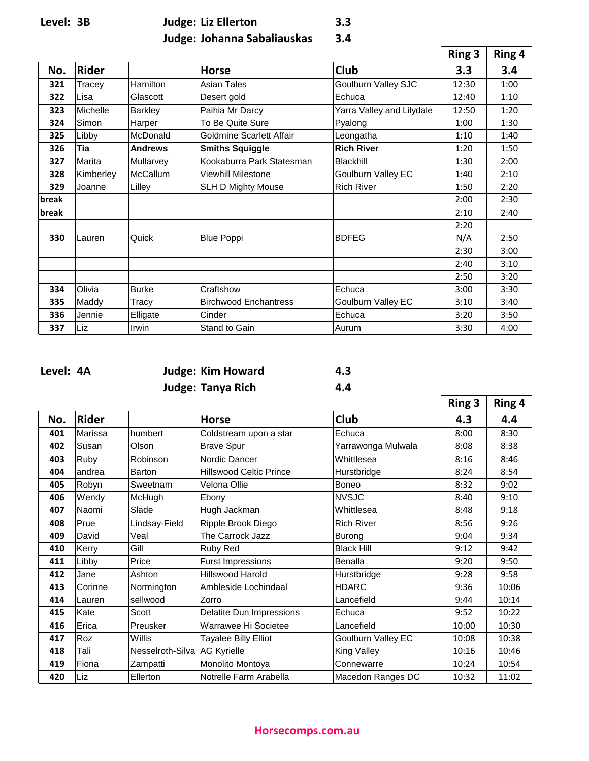**Level: 3B Judge: Liz Ellerton 3.3**

**Judge: Johanna Sabaliauskas 3.4**

|       |              |                 |                              |                           | <b>Ring 3</b> | Ring 4 |
|-------|--------------|-----------------|------------------------------|---------------------------|---------------|--------|
| No.   | <b>Rider</b> |                 | <b>Horse</b>                 | <b>Club</b>               | 3.3           | 3.4    |
| 321   | Tracey       | Hamilton        | Asian Tales                  | Goulburn Valley SJC       | 12:30         | 1:00   |
| 322   | Lisa         | Glascott        | Desert gold                  | Echuca                    | 12:40         | 1:10   |
| 323   | Michelle     | <b>Barkley</b>  | Paihia Mr Darcy              | Yarra Valley and Lilydale | 12:50         | 1:20   |
| 324   | Simon        | Harper          | To Be Quite Sure             | Pyalong                   | 1:00          | 1:30   |
| 325   | Libby        | McDonald        | Goldmine Scarlett Affair     | Leongatha                 | 1:10          | 1:40   |
| 326   | Tia          | <b>Andrews</b>  | <b>Smiths Squiggle</b>       | <b>Rich River</b>         | 1:20          | 1:50   |
| 327   | Marita       | Mullarvey       | Kookaburra Park Statesman    | Blackhill                 | 1:30          | 2:00   |
| 328   | Kimberley    | <b>McCallum</b> | Viewhill Milestone           | <b>Goulburn Valley EC</b> | 1:40          | 2:10   |
| 329   | Joanne       | Lilley          | <b>SLH D Mighty Mouse</b>    | <b>Rich River</b>         | 1:50          | 2:20   |
| break |              |                 |                              |                           | 2:00          | 2:30   |
| break |              |                 |                              |                           | 2:10          | 2:40   |
|       |              |                 |                              |                           | 2:20          |        |
| 330   | Lauren       | Quick           | <b>Blue Poppi</b>            | <b>BDFEG</b>              | N/A           | 2:50   |
|       |              |                 |                              |                           | 2:30          | 3:00   |
|       |              |                 |                              |                           | 2:40          | 3:10   |
|       |              |                 |                              |                           | 2:50          | 3:20   |
| 334   | Olivia       | <b>Burke</b>    | Craftshow                    | Echuca                    | 3:00          | 3:30   |
| 335   | Maddy        | Tracy           | <b>Birchwood Enchantress</b> | <b>Goulburn Valley EC</b> | 3:10          | 3:40   |
| 336   | Jennie       | Elligate        | Cinder                       | Echuca                    | 3:20          | 3:50   |
| 337   | Liz          | Irwin           | Stand to Gain                | Aurum                     | 3:30          | 4:00   |

**Level: 4A Judge: Kim Howard 4.3 Judge: Tanya Rich 4.4**

 $\blacksquare$ 

|     |              |                              |                                |                           | <b>Ring 3</b> | Ring 4 |
|-----|--------------|------------------------------|--------------------------------|---------------------------|---------------|--------|
| No. | <b>Rider</b> |                              | <b>Horse</b>                   | <b>Club</b>               | 4.3           | 4.4    |
| 401 | Marissa      | humbert                      | Coldstream upon a star         | Echuca                    | 8:00          | 8:30   |
| 402 | Susan        | Olson                        | <b>Brave Spur</b>              | Yarrawonga Mulwala        | 8:08          | 8:38   |
| 403 | Ruby         | Robinson                     | Nordic Dancer                  | Whittlesea                | 8:16          | 8:46   |
| 404 | andrea       | Barton                       | <b>Hillswood Celtic Prince</b> | Hurstbridge               | 8:24          | 8:54   |
| 405 | Robyn        | Sweetnam                     | Velona Ollie                   | <b>Boneo</b>              | 8:32          | 9:02   |
| 406 | Wendy        | McHugh                       | Ebony                          | <b>NVSJC</b>              | 8:40          | 9:10   |
| 407 | Naomi        | Slade                        | Hugh Jackman                   | Whittlesea                | 8:48          | 9:18   |
| 408 | Prue         | Lindsay-Field                | Ripple Brook Diego             | <b>Rich River</b>         | 8:56          | 9:26   |
| 409 | David        | Veal                         | The Carrock Jazz               | Burong                    | 9:04          | 9:34   |
| 410 | Kerry        | Gill                         | Ruby Red                       | <b>Black Hill</b>         | 9:12          | 9:42   |
| 411 | Libby        | Price                        | <b>Furst Impressions</b>       | Benalla                   | 9:20          | 9:50   |
| 412 | Jane         | Ashton                       | Hillswood Harold               | Hurstbridge               | 9:28          | 9:58   |
| 413 | Corinne      | Normington                   | Ambleside Lochindaal           | <b>HDARC</b>              | 9:36          | 10:06  |
| 414 | Lauren       | sellwood                     | Zorro                          | Lancefield                | 9:44          | 10:14  |
| 415 | Kate         | Scott                        | Delatite Dun Impressions       | Echuca                    | 9:52          | 10:22  |
| 416 | Erica        | Preusker                     | Warrawee Hi Societee           | Lancefield                | 10:00         | 10:30  |
| 417 | <b>Roz</b>   | Willis                       | <b>Tayalee Billy Elliot</b>    | <b>Goulburn Valley EC</b> | 10:08         | 10:38  |
| 418 | Tali         | Nesselroth-Silva AG Kyrielle |                                | <b>King Valley</b>        | 10:16         | 10:46  |
| 419 | Fiona        | Zampatti                     | Monolito Montoya               | Connewarre                | 10:24         | 10:54  |
| 420 | Liz          | Ellerton                     | Notrelle Farm Arabella         | Macedon Ranges DC         | 10:32         | 11:02  |